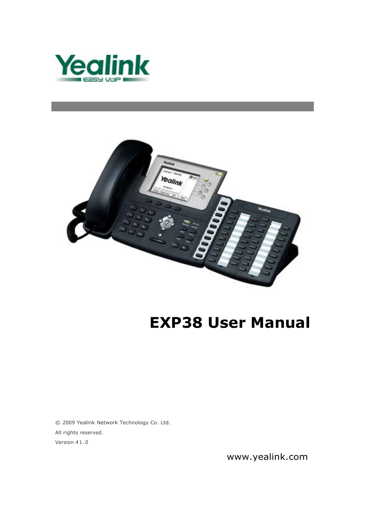



# **EXP38 User Manual**

© 2009 Yealink Network Technology Co. Ltd. All rights reserved. Version 41.0

www.yealink.com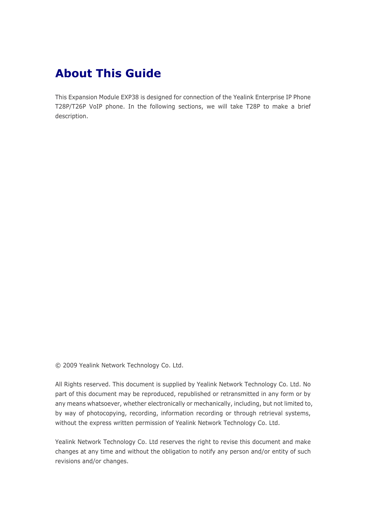### **About This Guide**

This Expansion Module EXP38 is designed for connection of the Yealink Enterprise IP Phone T28P/T26P VoIP phone. In the following sections, we will take T28P to make a brief description.

© 2009 Yealink Network Technology Co. Ltd.

All Rights reserved. This document is supplied by Yealink Network Technology Co. Ltd. No part of this document may be reproduced, republished or retransmitted in any form or by any means whatsoever, whether electronically or mechanically, including, but not limited to, by way of photocopying, recording, information recording or through retrieval systems, without the express written permission of Yealink Network Technology Co. Ltd.

Yealink Network Technology Co. Ltd reserves the right to revise this document and make changes at any time and without the obligation to notify any person and/or entity of such revisions and/or changes.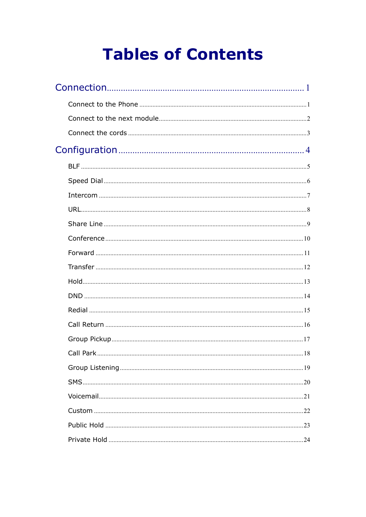# **Tables of Contents**

| 24 |
|----|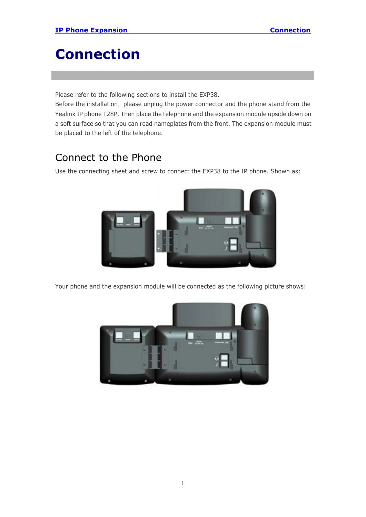# <span id="page-3-0"></span>**Connection**

Please refer to the following sections to install the EXP38.

Before the installation, please unplug the power connector and the phone stand from the Yealink IP phone T28P. Then place the telephone and the expansion module upside down on a soft surface so that you can read nameplates from the front. The expansion module must be placed to the left of the telephone.

#### Connect to the Phone

Use the connecting sheet and screw to connect the EXP38 to the IP phone. Shown as:



Your phone and the expansion module will be connected as the following picture shows:

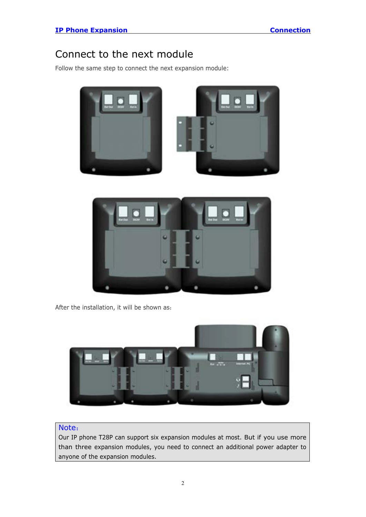#### <span id="page-4-0"></span>Connect to the next module

Follow the same step to connect the next expansion module:





After the installation, it will be shown as:



#### Note:

Our IP phone T28P can support six expansion modules at most. But if you use more than three expansion modules, you need to connect an additional power adapter to anyone of the expansion modules.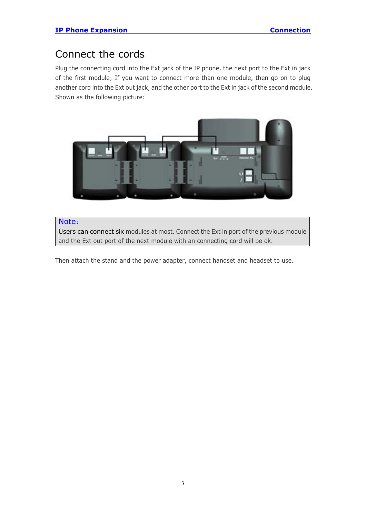#### <span id="page-5-0"></span>Connect the cords

Plug the connecting cord into the Ext jack of the IP phone, the next port to the Ext in jack of the first module; If you want to connect more than one module, then go on to plug another cord into the Ext out jack, and the other port to the Ext in jack of the second module. Shown as the following picture:



#### Note:

Users can connect six modules at most. Connect the Ext in port of the previous module and the Ext out port of the next module with an connecting cord will be ok.

Then attach the stand and the power adapter, connect handset and headset to use.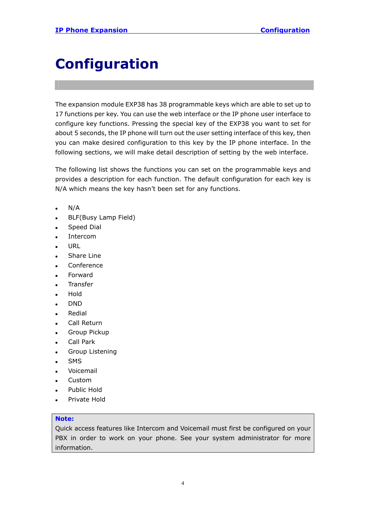# <span id="page-6-0"></span>**Configuration**

The expansion module EXP38 has 38 programmable keys which are able to set up to 17 functions per key. You can use the web interface or the IP phone user interface to configure key functions. Pressing the special key of the EXP38 you want to set for about 5 seconds, the IP phone will turn out the user setting interface of this key, then you can make desired configuration to this key by the IP phone interface. In the following sections, we will make detail description of setting by the web interface.

The following list shows the functions you can set on the programmable keys and provides a description for each function. The default configuration for each key is N/A which means the key hasn't been set for any functions.

- $N/A$
- BLF(Busy Lamp Field)
- Speed Dial
- **Intercom**
- **URL**
- Share Line
- Conference
- **Forward**
- **Transfer**
- **Hold**
- <sup>z</sup> DND
- Redial
- Call Return
- **Group Pickup**
- Call Park
- Group Listening
- **SMS**
- Voicemail
- Custom
- Public Hold
- Private Hold

#### **Note:**

Quick access features like Intercom and Voicemail must first be configured on your PBX in order to work on your phone. See your system administrator for more information.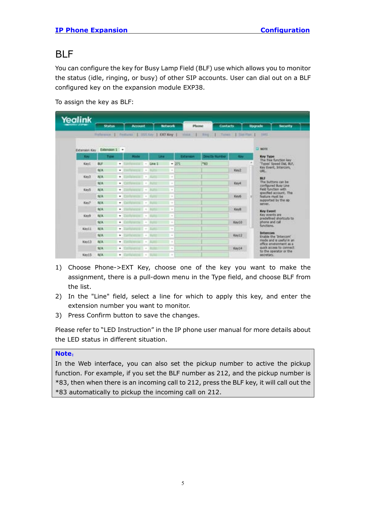#### <span id="page-7-0"></span>BLF

You can configure the key for Busy Lamp Field (BLF) use which allows you to monitor the status (idle, ringing, or busy) of other SIP accounts. User can dial out on a BLF configured key on the expansion module EXP38.

| Yealink    |                                                        |        |                |                                                                                                                                                      |                |           |            |                          |            |                 |                                                     |
|------------|--------------------------------------------------------|--------|----------------|------------------------------------------------------------------------------------------------------------------------------------------------------|----------------|-----------|------------|--------------------------|------------|-----------------|-----------------------------------------------------|
|            | <b>Status</b>                                          |        | <b>Account</b> |                                                                                                                                                      | <b>Between</b> |           | Phone      | <b>Contacts</b>          |            | <b>Upgrade</b>  | <b>Security</b>                                     |
|            | Pulletine, J. Federal J. 1955 Lev. J. DO'Key J. Hints. |        |                |                                                                                                                                                      |                |           | - 1        | English Parent Libertary |            |                 | 1985                                                |
|            | Extension Key Extension 1 -                            |        |                |                                                                                                                                                      |                |           |            |                          |            | <b>DI NOTIE</b> |                                                     |
| <b>Kay</b> | Type                                                   |        | <b>Limited</b> |                                                                                                                                                      | <b>Link</b>    | Extension |            | <b>Drestly Manber</b>    | <b>COL</b> |                 | <b>Key Type</b>                                     |
| Keyl       | BU <sup></sup>                                         | ٠      |                | Una 1<br>$\alpha$                                                                                                                                    |                | $-271$    | <b>MAD</b> |                          |            |                 | The free function key<br>"Types" Speed Dall, BLF.   |
|            | N/A                                                    | ٠      |                |                                                                                                                                                      | $\sim$         |           |            |                          | Key2       | <b>URL</b>      | Key Event, 3/64/com,                                |
| Key3       | <b>N/A</b>                                             | ٠      |                | $\sim$                                                                                                                                               | $\alpha$       |           |            |                          |            | BU              |                                                     |
|            | NA                                                     | ٠      |                | $\frac{1}{2}$<br><b>BURN</b>                                                                                                                         | $\sim$         |           |            |                          | Keys       |                 | The buttons can be<br>configured Busy Line          |
| KeyS       | N/A                                                    | ٠      |                | <b>CESS</b><br>$\sim$                                                                                                                                | $\sim$         |           |            |                          |            |                 | Field function with<br>specified account. This      |
|            | N/A                                                    | ٠      |                | $\sim$                                                                                                                                               | ÷              |           |            |                          | Keys.      |                 | feature must be<br>supported by the sp.             |
| Key?       | N/A                                                    | ٠      |                | $\frac{1}{2} \left( \frac{1}{2} \right) \left( \frac{1}{2} \right)$                                                                                  | $\sim$         |           |            |                          |            |                 | server,                                             |
|            | N/A                                                    | ٠      |                | ÷                                                                                                                                                    | $\sim$         |           |            |                          | Kevill     |                 | <b>Key Event</b>                                    |
| Keya       | N/A                                                    | ۰      |                | $\sim$                                                                                                                                               | $\sim$         |           |            |                          |            |                 | Key events are<br>predefined shortcuts to           |
|            | N/A                                                    | ۰      |                | $\sim$                                                                                                                                               | $\sim$         |           |            |                          | Kay10      |                 | phone and call<br><b>Relations</b>                  |
| Keytt      | N/A<br>NA                                              | ۰      |                | $\sim$                                                                                                                                               | $\sim$<br>×    |           |            |                          | Key12      |                 | <b>Intercom</b>                                     |
| Key53      | <b>N/A</b>                                             | ٠<br>٠ |                | $\frac{1}{2} \left( \frac{1}{2} \right) \left( \frac{1}{2} \right) \left( \frac{1}{2} \right)$<br>÷                                                  | $\pm$          |           |            |                          |            |                 | Enable the 'Intercom'<br>mode and is useful in an   |
|            | NA                                                     | ٠      |                | $\sim$                                                                                                                                               | $\sim$         |           |            |                          | Key14      |                 | office enveronment as a<br>quick access to connect. |
| Key15      | N/A                                                    | ٠      |                | $\frac{1}{2} \sum_{i=1}^{n} \frac{1}{2} \left( \frac{1}{2} \sum_{i=1}^{n} \frac{1}{2} \right) \left( \frac{1}{2} \sum_{i=1}^{n} \frac{1}{2} \right)$ | ×              |           |            |                          |            |                 | to the operator or the<br>secretary.                |

To assign the key as BLF:

- 1) Choose Phone->EXT Key, choose one of the key you want to make the assignment, there is a pull-down menu in the Type field, and choose BLF from the list.
- 2) In the "Line" field, select a line for which to apply this key, and enter the extension number you want to monitor.
- 3) Press Confirm button to save the changes.

Please refer to "LED Instruction" in the IP phone user manual for more details about the LED status in different situation.

#### **Note**:

In the Web interface, you can also set the pickup number to active the pickup function. For example, if you set the BLF number as 212, and the pickup number is \*83, then when there is an incoming call to 212, press the BLF key, it will call out the \*83 automatically to pickup the incoming call on 212.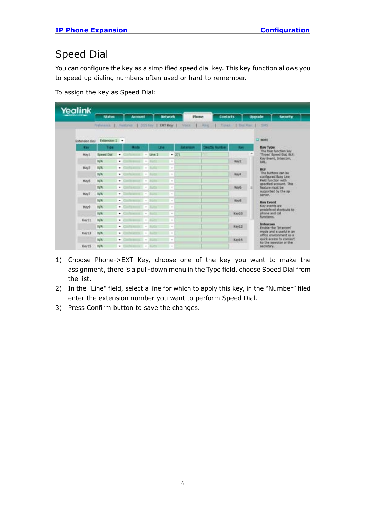### <span id="page-8-0"></span>Speed Dial

You can configure the key as a simplified speed dial key. This key function allows you to speed up dialing numbers often used or hard to remember.

To assign the key as Speed Dial:

| Yealink       |                                          |    |                |                                                                     |                |                                                                                                |           |                       |                           |                                                     |
|---------------|------------------------------------------|----|----------------|---------------------------------------------------------------------|----------------|------------------------------------------------------------------------------------------------|-----------|-----------------------|---------------------------|-----------------------------------------------------|
|               | <b>Status</b>                            |    | <b>Account</b> |                                                                     | <b>Between</b> |                                                                                                | Phone     | <b>Contacts</b>       |                           | <b>Upgrade</b><br><b>SCURFILE</b>                   |
|               | Frebenist   Fastures   DOS Key   DOT Key |    |                |                                                                     |                |                                                                                                | Vote      | <b>LL ROUGH</b>       | Times 1 Dat Rail 1 - SIRS |                                                     |
| Extension Key | Extension 1 +                            |    |                |                                                                     |                |                                                                                                |           |                       |                           | $\Box$ more                                         |
| <b>Key</b>    | Tree                                     |    | <b>Hode</b>    |                                                                     | <b>Line</b>    |                                                                                                | Extension | <b>Drectly Number</b> | <b>City</b>               | Key Type:                                           |
| Key1.         | Speed Dtd                                | ٠  |                |                                                                     | $-$ Line 2     |                                                                                                | $+ 271$   | ٠                     |                           | The free function key<br>Types' Speed Dai, BLF,     |
|               | N/A                                      | ٠  |                | $\sim$                                                              |                | $\sim$                                                                                         |           |                       | Key2                      | Key Event, Intercom,<br>URL:                        |
| Key3          | <b>N/A</b>                               | ۰  |                | $\sim$                                                              | ۰              | $\sim$                                                                                         |           |                       |                           | <b>BLF</b>                                          |
|               | <b>N/A</b>                               | ٠  |                | $\sim$                                                              |                | $\sim$                                                                                         |           |                       | <b>Kayn</b>               | The buttons can be<br>configured Buily Line         |
| Kind5         | N/A                                      | ٠  |                | $\sim$                                                              |                | $\sim$                                                                                         |           |                       |                           | Feld function with<br>specified account. This       |
|               | <b>N/A</b>                               | ٠  |                | $\sim$                                                              | ×              | $\sim$                                                                                         |           |                       | Kev6                      | feature must be<br>supported by the sig-            |
| Key?          | N/A                                      | ٠  |                | $\sim$                                                              |                | $\frac{1}{2} \left( \frac{1}{2} \right) \left( \frac{1}{2} \right) \left( \frac{1}{2} \right)$ |           |                       |                           | sanier.                                             |
|               | N/A                                      | ٠  |                | $\sim$                                                              |                | $\sim$                                                                                         |           |                       | Keytt                     | <b>Key Event</b>                                    |
| Keys          | <b>N/A</b>                               | ٠  |                |                                                                     | $+18.35$       | $\sim$                                                                                         |           |                       |                           | Key eyents are<br>predefined shortcuts to           |
|               | N/A                                      | ۰  |                | $\sim$                                                              |                | $\sim$                                                                                         |           |                       | Key10                     | phone and call<br>Renetipins.                       |
| Key11         | N/A                                      | ٠  |                | $\sim$                                                              |                | $\sim$                                                                                         |           |                       |                           | <b>Intercom</b>                                     |
|               | N/A                                      | ٠  |                | $\sim$                                                              |                | $\sim$                                                                                         |           |                       | Key12                     | Enable the Tirtercom <sup>7</sup>                   |
| Key13         | <b>NA</b>                                | ۰  |                | $\sim$                                                              |                | $\sim$                                                                                         |           |                       |                           | mode and is useful in an<br>office environment as a |
|               | N/A                                      | ٠. |                | $\sim$                                                              |                | $\sim$                                                                                         |           |                       | Kay 14                    | quick access to connect.<br>to the operator or the  |
| Key15         | <b>N/A</b>                               | ٠  |                | $\frac{1}{2} \left( \frac{1}{2} \right) \left( \frac{1}{2} \right)$ |                | $\sim$                                                                                         |           |                       |                           | <b>MORGIN</b>                                       |

- 1) Choose Phone->EXT Key, choose one of the key you want to make the assignment, there is a pull-down menu in the Type field, choose Speed Dial from the list.
- 2) In the "Line" field, select a line for which to apply this key, in the "Number" filed enter the extension number you want to perform Speed Dial.
- 3) Press Confirm button to save the changes.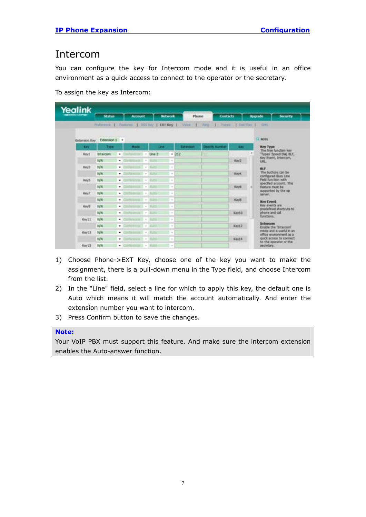#### <span id="page-9-0"></span>Intercom

You can configure the key for Intercom mode and it is useful in an office environment as a quick access to connect to the operator or the secretary.

To assign the key as Intercom:

| Yealink                     |                  |   |                        |                                                                                                |             | <b>Bellwork</b>                                                                                |               |                                                                                          |        |                                                    |
|-----------------------------|------------------|---|------------------------|------------------------------------------------------------------------------------------------|-------------|------------------------------------------------------------------------------------------------|---------------|------------------------------------------------------------------------------------------|--------|----------------------------------------------------|
|                             | <b>Station</b>   |   | Account.               |                                                                                                |             |                                                                                                | <b>Phone</b>  | Contacts                                                                                 |        | <b>Upgrade</b><br><b>Societika</b>                 |
|                             |                  |   |                        |                                                                                                |             |                                                                                                |               | Fisherma 1. Features 1. 000 key 1. DCFRey 1. Voice 1. Paris 1. Town 1. Dol Flan 1. Sitts |        |                                                    |
| Extansion Kay Extension 1 + |                  |   |                        |                                                                                                |             |                                                                                                |               |                                                                                          |        | $\Box$ more                                        |
| <b>City</b>                 | 7/84             |   | <b>Hode</b>            |                                                                                                | <b>Emer</b> |                                                                                                | <b>Болном</b> | <b>Drectly Number</b>                                                                    | Easy   | <b>Key Type:</b>                                   |
| Kevt                        | <b>Intercome</b> | ٠ | Contractor of the Sea  |                                                                                                | $-1042$     |                                                                                                | $+312$        |                                                                                          |        | The free function key<br>Types' Speed Dat, ILF.    |
|                             | N/A              | ٠ | <b>Service Address</b> | $\sim$                                                                                         |             | $\sim$                                                                                         |               |                                                                                          | Kev2   | Key Event, Intercom,<br>LIEL.                      |
| Key3                        | NA               | ۰ |                        | $\sim$                                                                                         |             | $\sim$                                                                                         |               |                                                                                          |        | <b>BLF</b>                                         |
|                             | NA               | ۰ |                        | $\frac{1}{2} \left( \frac{1}{2} \right) \left( \frac{1}{2} \right) \left( \frac{1}{2} \right)$ |             | $\frac{1}{2}$                                                                                  |               |                                                                                          | Kevil  | The buttons can be<br>cardigured Busy Line         |
| KeyS                        | N/A              | ٠ |                        | $\sim$                                                                                         |             | $\sim$                                                                                         |               |                                                                                          |        | Feld function with<br>specified account; This      |
|                             | N/A              | ٠ |                        | $\sim$                                                                                         | -           | ٠                                                                                              |               |                                                                                          | Keyb   | feature must be                                    |
| Key?                        | N/A              | ٠ |                        | $\frac{1}{2} \left( \frac{1}{2} \right) \left( \frac{1}{2} \right) \left( \frac{1}{2} \right)$ |             | $\frac{1}{2} \left( \frac{1}{2} \right) \left( \frac{1}{2} \right) \left( \frac{1}{2} \right)$ |               |                                                                                          |        | supported by the sp.<br>server.                    |
|                             | N/A              | ۰ |                        | $\sim$                                                                                         |             | $\sim$                                                                                         |               |                                                                                          | Kevill | <b>Key Event</b>                                   |
| Key's                       | N/A              | ۰ |                        | $\sim$                                                                                         |             | $\sim$                                                                                         |               |                                                                                          |        | Key events are<br>predefined shortcuts to          |
|                             | N/A              | ۰ |                        | $\frac{1}{2} \left( \frac{1}{2} \right) \left( \frac{1}{2} \right)$                            |             | $\sim$                                                                                         |               |                                                                                          | Kev10  | phone and call<br><b>Bunchons</b>                  |
| <b>Key11</b>                | <b>N/A</b>       | ۰ | <b>Information</b>     |                                                                                                |             | $\sim$                                                                                         |               |                                                                                          |        |                                                    |
|                             | N/A              | ۰ | Contemporary Control   |                                                                                                |             | $\sim$                                                                                         |               |                                                                                          | Key12  | Intercom<br>Erable the 'Intercom'.                 |
| Keyt3.                      | N/A              | ٠ |                        | $\rightarrow$                                                                                  |             | $\sim$                                                                                         |               |                                                                                          |        | mode and is useful in an<br>office envestment as a |
|                             | <b>N/A</b>       | ۰ | and any property of    |                                                                                                |             | $\sim$                                                                                         |               |                                                                                          | Eire14 | quick access to connect.<br>to the operator or the |
| Key15                       | 36/.K.           | ٠ | Contention 1 - Kultz   |                                                                                                |             | ÷                                                                                              |               |                                                                                          |        | secretary."                                        |

- 1) Choose Phone->EXT Key, choose one of the key you want to make the assignment, there is a pull-down menu in the Type field, and choose Intercom from the list.
- 2) In the "Line" field, select a line for which to apply this key, the default one is Auto which means it will match the account automatically. And enter the extension number you want to intercom.
- 3) Press Confirm button to save the changes.

#### **Note:**

Your VoIP PBX must support this feature. And make sure the intercom extension enables the Auto-answer function.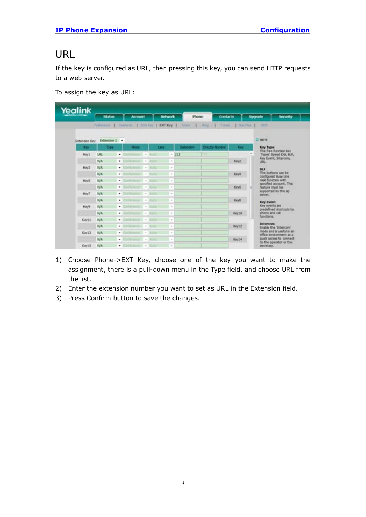#### <span id="page-10-0"></span>URL

If the key is configured as URL, then pressing this key, you can send HTTP requests to a web server.

To assign the key as URL:

| Yealink                     |               |                    |                |                  |                                                                              |                                                     |
|-----------------------------|---------------|--------------------|----------------|------------------|------------------------------------------------------------------------------|-----------------------------------------------------|
|                             | <b>Status</b> | <b>Account</b>     | <b>Between</b> | Phone            | <b>Contacts</b>                                                              | <b>Upgrade</b><br>security.                         |
|                             |               |                    |                |                  | Frebenise   Festives   025 Key   COTXey   Voce   Reg   Toyot   Dar Par   SHS |                                                     |
|                             | Extension I + |                    |                |                  |                                                                              | <b>Contract</b><br><b>ET NOTE</b>                   |
| Extension Key<br><b>Key</b> | Tree          | <b>HOLD</b>        | <b>Line</b>    | <b>Extension</b> | <b>Drechi Nunbei</b><br><b>Links</b>                                         | <b>Key Type</b>                                     |
| Key1.                       | <b>URL</b>    | ۰<br>٠             | $-212$         | m                |                                                                              | The free function key<br>'Types' Speed Dol, BLF,    |
|                             | <b>N/A</b>    | ٠                  | $\sim$         |                  | Key2                                                                         | Key Evant, Intercom,<br>URL.                        |
| Key3                        | <b>NA</b>     | ۰                  |                |                  |                                                                              | <b>BLF</b>                                          |
|                             | N/A           | ٠                  | $\sim$         |                  | Keye                                                                         | The buttons can be                                  |
| Kind5                       | <b>NGA</b>    | ٠<br>$\sim$        | $\alpha$       |                  |                                                                              | configured Busy Line<br>Field function with         |
|                             | <b>NA</b>     | ۰                  | $\sim$         |                  | Keidi                                                                        | specified account. This<br>feature must be          |
| Key?                        | N/A           | ٠<br>$\sim$        | $\sim$         |                  |                                                                              | supported by the six-<br>server.                    |
|                             | N/A           | ٠<br>$\sim$        | $\sim$         |                  | Keyli                                                                        | Key Event                                           |
| Kindi                       | <b>NA</b>     | ۰<br>÷             | $\sim$         |                  |                                                                              | Key events are<br>predefined shortcuts to           |
|                             | <b>N/A</b>    | ۰                  | $\sim$         |                  | Keytő                                                                        | phone and call<br>functions.                        |
| Keyli                       | N/A           | ٠                  | $\sim$         |                  |                                                                              |                                                     |
|                             | <b>TLUA</b>   | ٠<br>$\rightarrow$ | $\sim$         |                  | Key12                                                                        | Intercom<br>Enable the "Intercom"                   |
| Key13                       | N/A           | ٠<br>$\sim$        | $\overline{a}$ |                  |                                                                              | mode and is useful in an<br>office envelopment as a |
|                             | N/A           | ۰<br>$\sim$        | $\sim$         |                  | Kay14                                                                        | duick access to connect<br>to the operator or the   |
| Key15                       | <b>N/A</b>    |                    | $\sim$         |                  |                                                                              | HOWERY.                                             |

- 1) Choose Phone->EXT Key, choose one of the key you want to make the assignment, there is a pull-down menu in the Type field, and choose URL from the list.
- 2) Enter the extension number you want to set as URL in the Extension field.
- 3) Press Confirm button to save the changes.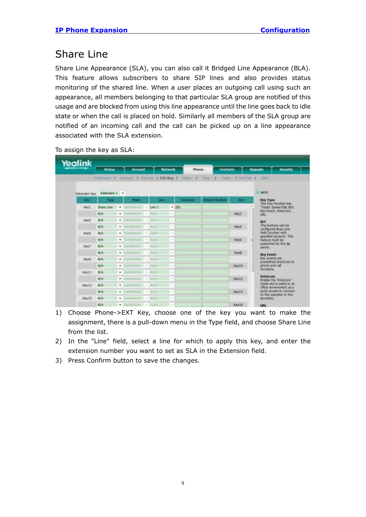#### <span id="page-11-0"></span>Share Line

Share Line Appearance (SLA), you can also call it Bridged Line Appearance (BLA). This feature allows subscribers to share SIP lines and also provides status monitoring of the shared line. When a user places an outgoing call using such an appearance, all members belonging to that particular SLA group are notified of this usage and are blocked from using this line appearance until the line goes back to idle state or when the call is placed on hold. Similarly all members of the SLA group are notified of an incoming call and the call can be picked up on a line appearance associated with the SLA extension.

| Yealink                     |                                             |   |                                                                                                                                                                                                                                                                                                                                                                                                                                                                   |                                                                     |                 |              |                              |                 |                                                    |
|-----------------------------|---------------------------------------------|---|-------------------------------------------------------------------------------------------------------------------------------------------------------------------------------------------------------------------------------------------------------------------------------------------------------------------------------------------------------------------------------------------------------------------------------------------------------------------|---------------------------------------------------------------------|-----------------|--------------|------------------------------|-----------------|----------------------------------------------------|
|                             | Status                                      |   | <b>Account</b>                                                                                                                                                                                                                                                                                                                                                                                                                                                    |                                                                     | <b>Bellwork</b> | Phone        |                              | <b>Contacts</b> | <b>Hograde</b><br><b>SOCIATION</b>                 |
|                             | Pieleterce 1 Features 1 255 key 1 EXT Key 1 |   |                                                                                                                                                                                                                                                                                                                                                                                                                                                                   |                                                                     |                 | <b>VAIDE</b> | $1 - 7$<br><b>Times</b><br>٠ | T That Plan 1   | <b>THE</b>                                         |
|                             |                                             |   |                                                                                                                                                                                                                                                                                                                                                                                                                                                                   |                                                                     |                 |              |                              |                 |                                                    |
| Extension Key Extension 1 - |                                             |   |                                                                                                                                                                                                                                                                                                                                                                                                                                                                   |                                                                     |                 |              |                              |                 | <b>COMOTH</b>                                      |
| <b>Kind</b>                 | Type                                        |   | <b>LUMP</b>                                                                                                                                                                                                                                                                                                                                                                                                                                                       |                                                                     | <b>Sine</b>     | Estamage     | <b>Drachy Number</b>         | <b>REV</b>      | Key Type                                           |
| Keyt                        | Share Line +                                |   | Confuturior: - Line 1                                                                                                                                                                                                                                                                                                                                                                                                                                             |                                                                     |                 | $+ 381$      |                              |                 | The fire function key<br>Types' Speed Dat, BLF,    |
|                             | N/A                                         | ۰ | $-11$                                                                                                                                                                                                                                                                                                                                                                                                                                                             | ٠                                                                   | $\sim$          |              |                              | Key2            | Key Event, Intercore,<br><b>URL</b>                |
| Kev3                        | N/A                                         | ۰ |                                                                                                                                                                                                                                                                                                                                                                                                                                                                   | $\sim$                                                              | ٠               |              |                              |                 | <b>BLF</b>                                         |
|                             | NA                                          | ٠ | <b>CONTRACTOR</b>                                                                                                                                                                                                                                                                                                                                                                                                                                                 |                                                                     | $\sim$          |              |                              | Keve            | The buttons can be<br>configured Busy Line         |
| Kiridi                      | N/A                                         | ۰ | $= 1 - 1$                                                                                                                                                                                                                                                                                                                                                                                                                                                         |                                                                     | $\sim$          |              |                              |                 | Field function with<br>specified account. This     |
|                             | NIA                                         | ٠ |                                                                                                                                                                                                                                                                                                                                                                                                                                                                   | $\frac{1}{2} \left( \frac{1}{2} \right) \left( \frac{1}{2} \right)$ | $\sim$          |              |                              | Key6            | feature must be                                    |
| Key7                        | N/A                                         | ٠ |                                                                                                                                                                                                                                                                                                                                                                                                                                                                   | $\sim$                                                              | $\alpha$        |              |                              |                 | supported by the sp.<br>benver.                    |
|                             | N/A                                         | ٠ | $-100$                                                                                                                                                                                                                                                                                                                                                                                                                                                            |                                                                     | ٠               |              |                              | Kevill          | <b>Key Event</b>                                   |
| Keyla                       | N/A                                         | ٠ | <b>COLL</b> 47                                                                                                                                                                                                                                                                                                                                                                                                                                                    |                                                                     | ×               |              |                              |                 | Key events are.<br>predefined shortzuts to         |
|                             | N/A                                         | ٠ | and the second con-                                                                                                                                                                                                                                                                                                                                                                                                                                               | -                                                                   | ۰               |              |                              | Kev10           | phone and call<br>functions.                       |
| Keytt                       | <b>N/A</b>                                  | ٠ | <b>Card Co</b>                                                                                                                                                                                                                                                                                                                                                                                                                                                    | $\frac{1}{2} \left( \frac{1}{2} \right) \left( \frac{1}{2} \right)$ | $\overline{a}$  |              |                              |                 |                                                    |
|                             | <b>N/A</b>                                  | ٠ | profetable to 11 - Bullet                                                                                                                                                                                                                                                                                                                                                                                                                                         |                                                                     | $\sim$          |              |                              | Key12           | <b>Bortweeness</b><br>Englis the Tritercon'        |
| Keyt3                       | N/A                                         | ٠ | $\label{eq:1} \begin{split} \mathcal{L}^{\text{in}}(\mathcal{L}^{\text{in}}(\mathcal{L}^{\text{in}}(\mathcal{L}^{\text{in}}))_{\mathcal{L}}^{\text{in}}(\mathcal{L}^{\text{in}}(\mathcal{L}^{\text{in}}(\mathcal{L}^{\text{in}})^{\text{in}}))_{\mathcal{L}}^{\text{out}}(\mathcal{L}^{\text{in}}(\mathcal{L}^{\text{in}}(\mathcal{L}^{\text{in}}(\mathcal{L}^{\text{in}})^{\text{in}})^{\text{out}}_{\mathcal{L}^{\text{in}}(\mathcal{L}^{\text{in}}(\mathcal{L$ |                                                                     | ٠               |              |                              |                 | mode and is useful in an<br>office anyonoment as a |
|                             | <b>N/A</b>                                  | ٠ | <b>Sellingers 1. 4</b>                                                                                                                                                                                                                                                                                                                                                                                                                                            | 31.95                                                               | $\sim$          |              |                              | Key14           | quick access to connect.<br>to the coerator or the |
| Key15                       | N/A                                         | ۰ | and a family 11. w 1. Martin                                                                                                                                                                                                                                                                                                                                                                                                                                      |                                                                     | ٠               |              |                              |                 | <b>MOMMY!</b>                                      |
|                             | N/A                                         |   | $+$ Enthincing $-$ RCD                                                                                                                                                                                                                                                                                                                                                                                                                                            |                                                                     | ٠               |              |                              | Keytő           | 1,883                                              |

To assign the key as SLA:

- 1) Choose Phone->EXT Key, choose one of the key you want to make the assignment, there is a pull-down menu in the Type field, and choose Share Line from the list.
- 2) In the "Line" field, select a line for which to apply this key, and enter the extension number you want to set as SLA in the Extension field.
- 3) Press Confirm button to save the changes.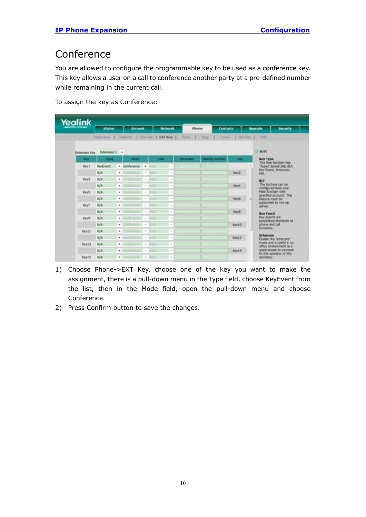### <span id="page-12-0"></span>Conference

You are allowed to configure the programmable key to be used as a conference key. This key allows a user on a call to conference another party at a pre-defined number while remaining in the current call.

To assign the key as Conference:

| Yealink       | <b>Status</b> | <b>AUTOMOTIC</b>                                                                    | <b>Bellwick</b><br>Phone | <b>Contacts</b>      |                | <b>Security</b><br><b>Upgrade</b>                   |
|---------------|---------------|-------------------------------------------------------------------------------------|--------------------------|----------------------|----------------|-----------------------------------------------------|
|               |               | Preference   Pastures   2013 key   DCT New   Veter   Firey   Tower   Dat Plan   DPS |                          |                      |                |                                                     |
| Extension Key | Edension I .  |                                                                                     |                          |                      |                | <b>STOR LT</b>                                      |
| <b>Kest</b>   | Travel        | <b>Made</b><br><b>Link</b>                                                          | <b>Externoon</b>         | <b>Drachy Number</b> | <b>King</b>    | <b>Key Type</b>                                     |
| Keyt.         | KeyEvent      | · Conference -                                                                      | . .                      |                      | $\overline{a}$ | The free function key<br>'Types' Speed DW, BLF,     |
|               | <b>N/A</b>    | ٠<br><b>SET 4-1</b><br>31,844                                                       | $\sim$                   |                      | Key2           | Key Event, Intercorn,<br>UEL.                       |
| Kev3          | NA            | ٠<br>$-1$                                                                           | $\sim$                   |                      |                | <b>MtF</b>                                          |
|               | <b>N/A</b>    | ٠<br>$\sim$                                                                         | m.                       |                      | Keye           | The buttons can be<br>configured Busy Line          |
| Key5          | N/A           | ٠<br>$\sim$                                                                         | ٠                        |                      |                | Field Sunction with<br>specified account. This      |
|               | <b>N/A</b>    | ٠<br>$\sim$                                                                         | $\sim$                   |                      | <b>Keys</b>    | Teature must be                                     |
| Key7          | <b>BUA</b>    | ۰<br>÷                                                                              | ٠                        |                      |                | supported by the str<br>server                      |
|               | <b>N/A</b>    | ٠<br>$\sim$                                                                         | $\equiv$                 |                      | Keyli          | <b>Key Event</b>                                    |
| Keya          | N/A           | ۰<br>$\sim$                                                                         | $\sim$                   |                      |                | Key events are<br>predefined shortzuts to:          |
|               | NX            | ٠<br>$\sim$                                                                         | $\sim$                   |                      | <b>Kay10</b>   | phone and call.<br>functions.                       |
| Keytt         | <b>N/A</b>    | w.l.<br><b>Sold Service Control</b>                                                 | $\sim$                   |                      |                |                                                     |
|               | <b>N/A</b>    | ٠<br>$\sim$                                                                         | $\sim$                   |                      | Key13          | <b>Inferconi</b><br>Enable the "Intercord"          |
| Key13         | N/A           | $\sim$<br>۰                                                                         | $\sim$                   |                      |                | mode and is useful in an<br>office envelopment as a |
|               | NA            | ۰<br>$\sim$                                                                         | $\sim$                   |                      | Key14          | quick access to connect<br>to the operator or the   |
| Key15         | <b>N/A</b>    | $\sim$<br>٠                                                                         | $\rightarrow$            |                      |                | secretary.                                          |

- 1) Choose Phone->EXT Key, choose one of the key you want to make the assignment, there is a pull-down menu in the Type field, choose KeyEvent from the list, then in the Mode field, open the pull-down menu and choose Conference.
- 2) Press Confirm button to save the changes.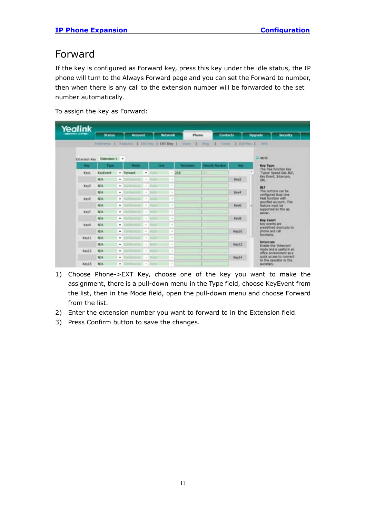#### <span id="page-13-0"></span>Forward

If the key is configured as Forward key, press this key under the idle status, the IP phone will turn to the Always Forward page and you can set the Forward to number, then when there is any call to the extension number will be forwarded to the set number automatically.

To assign the key as Forward:

| Yealink    |                           |                                                                                      |                       |                 |                        |             |                                                   |
|------------|---------------------------|--------------------------------------------------------------------------------------|-----------------------|-----------------|------------------------|-------------|---------------------------------------------------|
|            | <b>Status</b>             | <b>Account</b>                                                                       | <b>Network</b>        | Phone:          | <b>Contacts</b>        |             | <b>Upgrade</b><br><b>Societike</b>                |
|            |                           | Fishings   Familyan   DOS key   OCTAbby   Viker /   Reg     Tannel   Dal Pho     DMS |                       |                 |                        |             |                                                   |
|            |                           |                                                                                      |                       |                 |                        |             |                                                   |
|            | Extension Key Extension 1 |                                                                                      |                       |                 |                        |             | <b>UTH C</b>                                      |
| <b>New</b> | Type                      | <b>Hode</b>                                                                          | <b>LEE</b>            | <b>Getamann</b> | <b>Directly Number</b> | <b>Tary</b> | <b>Key Type</b><br>The free function key          |
| Keyt       | <b>KeyEvant</b>           | · Forward<br>٠                                                                       | $-258$                |                 | - 13                   |             | 'Types' Speed Dul, BLF,                           |
|            | N/A                       | ٠<br>$\sim$                                                                          | $\alpha$              |                 |                        | Key2        | Key Event, Intercom,<br><b>URL:</b>               |
| Key3       | N/A                       | ٠.<br>$\sim$<br><b>CONTROLLER</b>                                                    | ÷                     |                 |                        |             | <b>BLF</b>                                        |
|            | N/A                       | <b>ANTIQUES IN THE</b><br>٠<br>$\sim$                                                | $\sim$                |                 |                        | Keys        | The buttons can be<br>configured Busy Line        |
| KayS       | NW                        | ٠<br>$\sim$                                                                          | $\sim$                |                 |                        |             | Field function with                               |
|            | N/A                       | <b>Marine M.T.</b><br>٠<br>$\sim$                                                    | $\sim$                |                 |                        | Key6        | specified account, This<br>finature must be       |
| Key?       | NW                        | ٠<br>$\sim$                                                                          | ÷<br>m                |                 |                        |             | supported by the sp.<br><b>BAYLAND</b> CONTROLLER |
|            | <b>N/A</b>                | ٠<br>$\sim$                                                                          | ×                     |                 |                        | Keyti       | <b>Key Event</b>                                  |
| KeyS       | N/A                       | <b>CALL + BUSS</b><br>٠                                                              | $\sim$                |                 |                        |             | Key events are                                    |
|            | N/A                       | ۰<br><b>All Sciences</b>                                                             | $\sim$<br>19.7.1      |                 |                        | Keyto       | predefined shortruits to:<br>phone and call       |
| KeySL      | <b>SUA</b>                | ×.<br><b>SYNNESS +</b>                                                               | ×                     |                 |                        |             | <b>Reternance</b>                                 |
|            | <b>N/A</b>                | ٠<br>$\sim$                                                                          | $\rightarrow$         |                 |                        | Key12       | <b>Intercom</b><br>Enable the 'Intercom'          |
| Keyt3      | NA                        | ٠<br>$-100$                                                                          | $\sim$                |                 |                        |             | mode and is useful in an                          |
|            | N/A                       | ٠<br><b>PARAMENT + I BLASS</b>                                                       | $\sim$                |                 |                        | Kaylé       | office enveronment as a<br>ouck access to connect |
| Keyt5.     | <b>N/A</b>                | ۰<br>$( -4)$                                                                         | $\sim$<br><b>BUTT</b> |                 |                        |             | to the operator or the<br><b>MOVEMY.</b>          |

- 1) Choose Phone->EXT Key, choose one of the key you want to make the assignment, there is a pull-down menu in the Type field, choose KeyEvent from the list, then in the Mode field, open the pull-down menu and choose Forward from the list.
- 2) Enter the extension number you want to forward to in the Extension field.
- 3) Press Confirm button to save the changes.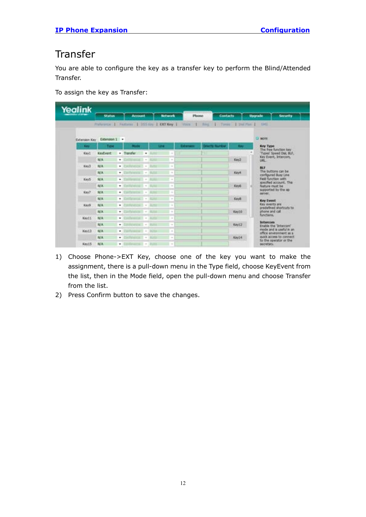#### <span id="page-14-0"></span>**Transfer**

You are able to configure the key as a transfer key to perform the Blind/Attended Transfer.

To assign the key as Transfer:

| Yealink    |                                                           |                                        |                                                                       |            |                                    |                                                       |
|------------|-----------------------------------------------------------|----------------------------------------|-----------------------------------------------------------------------|------------|------------------------------------|-------------------------------------------------------|
|            | Status                                                    | Account                                | <b>Bellwood</b>                                                       | Phone      | <b>Contacts</b>                    | <b>Security</b><br><b>Upgrade</b>                     |
|            |                                                           |                                        | Policyma   Femano   200-les   DCFKey   Voice   Reg.   Tuese   2nd Pas |            |                                    | $-1341$                                               |
|            | <b>CONTRACTOR</b> IN PERSONAL<br>Extenson Key Extension 1 |                                        |                                                                       |            |                                    | <b>C NOTE</b>                                         |
| <b>Key</b> | Tree                                                      | <b>Note</b>                            | <b>Links</b>                                                          | Enterprise | <b>Dretty Number</b><br><b>Kay</b> | <b>Key Type</b><br>The free function key              |
| KevI       | KeyEvent                                                  | + Transfer<br>$\overline{\phantom{a}}$ | m<br>÷                                                                |            |                                    | 'Types' Speed Dai, BLF,                               |
|            | N/A                                                       | ٠<br>$\frac{1}{2}$                     | $\sim$                                                                |            | Key2                               | Key Event, Intercom.<br>LIKE                          |
| Key3       | N/A                                                       | $\bullet$<br>$\sim$                    | $\sim$                                                                |            |                                    | 图示                                                    |
|            | NA                                                        | ۰<br><b>SOVIETE +</b>                  | $\sim$                                                                |            | Keye                               | The buttons can be<br>configured Busy Line            |
| Key5       | <b>SE/A</b>                                               | ۰<br><b>STATISTICS</b>                 | $\sim$                                                                |            |                                    | <b>Field function with</b><br>specified account, This |
|            | N/A                                                       | ۰<br>$\sim$                            | $\sim$                                                                |            | Keid-                              | feature must be                                       |
| Key?       | NW                                                        | ٠<br>$\sim$<br>$\sim$                  | ÷                                                                     |            |                                    | supported by the sp.<br>sariver.                      |
|            | <b>N/A</b>                                                | ٠<br>$\sim$                            | $\sim$                                                                |            | Keyti                              | <b>Key Event</b>                                      |
| Key9       | N/A                                                       | ٠<br>$\sim$                            | $\sim$                                                                |            |                                    | Key events are<br>predefined shortrufts to:           |
|            | N/A                                                       | ۰<br>٠                                 | $\sim$                                                                |            | Keyto                              | abone and call<br>functions.                          |
| Keytt      | <b>N/A</b>                                                | ٠<br>and an expectation of             | $\sim$                                                                |            |                                    |                                                       |
|            | <b>N/A</b>                                                | distances 1.<br>٠                      | $\sim$                                                                |            | Key12                              | <b>Intercom</b><br>Enable the "Intercom"              |
| Keyt3      | <b>N/A</b>                                                | ۰<br>- Themselve                       | $\Delta$<br><b>SCRA</b>                                               |            |                                    | mode and is useful in an<br>office enveronment as a   |
|            | N/A                                                       | <b>SAN PARAMENT AT A</b><br>۰          | <b>HELPY</b><br>$\sim$                                                |            | Key14                              | ouck access to connect.<br>to the operator or the     |
| Keyt5:     | <b>N/A</b>                                                | ٠                                      | $\sim$                                                                |            |                                    | <b>MORGIV.</b>                                        |

- 1) Choose Phone->EXT Key, choose one of the key you want to make the assignment, there is a pull-down menu in the Type field, choose KeyEvent from the list, then in the Mode field, open the pull-down menu and choose Transfer from the list.
- 2) Press Confirm button to save the changes.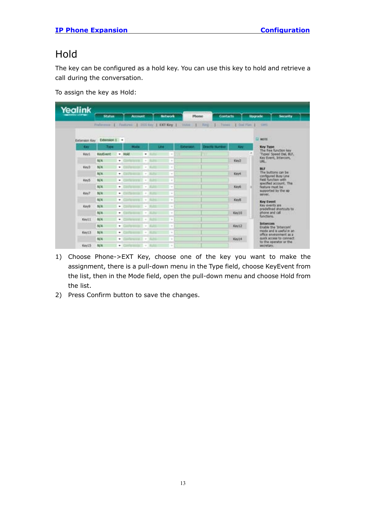### <span id="page-15-0"></span>Hold

The key can be configured as a hold key. You can use this key to hold and retrieve a call during the conversation.

To assign the key as Hold:

| Yealink                     |                 |                 |                                                                                                |                |           |                                                                                 |       |                                                     |
|-----------------------------|-----------------|-----------------|------------------------------------------------------------------------------------------------|----------------|-----------|---------------------------------------------------------------------------------|-------|-----------------------------------------------------|
|                             | <b>Status</b>   | <b>Account.</b> |                                                                                                | <b>Beloven</b> | Phone     | Contacts                                                                        |       | <b>Hograde</b><br><b>Security</b>                   |
|                             |                 |                 |                                                                                                |                |           | Fisherma 1. Fastures 1 193 key 1 DCT Key 1 Volve 1 Ang 1 Tanes 1 Dol Flan 1 SHS |       |                                                     |
| Extension Key Extension 1 + |                 |                 |                                                                                                |                |           |                                                                                 |       | $\Box$ mont                                         |
| <b>Cary</b>                 | 7,00            | <b>Hode</b>     |                                                                                                | Line           | Elderseys | <b>Drectly Number</b>                                                           | East  | <b>Key Type</b><br>The fine function key            |
| Kevt                        | KeyEvent - Hold |                 | ٠                                                                                              | $\sim$         |           |                                                                                 |       | ۰<br>'Types' Speed Dal, BLF.                        |
|                             | N/A             | ٠               | $\sim$                                                                                         | $\sim$         |           |                                                                                 | Key2  | Key Event, Intercom,<br><b>LIBEL</b>                |
| Key3                        | N/A             | ۰               | $\sim$                                                                                         | $\sim$         |           |                                                                                 |       | BIF                                                 |
|                             | N/A             | ۰               | $\frac{1}{2} \left( \frac{1}{2} \right) \left( \frac{1}{2} \right) \left( \frac{1}{2} \right)$ | $\sim$         |           |                                                                                 | Keirt | The buttons can be<br>canfigured Busy Line          |
| Key5.                       | N/A             | ٠               | <b>STERN 2-4-1</b>                                                                             | $\sim$         |           |                                                                                 |       | Field function with<br>specified account. This      |
|                             | N/A             | ۰               | $\sim$                                                                                         | $\sim$         |           |                                                                                 | Key6  | feature must be                                     |
| Key?                        | NA              | ٠               | $\frac{1}{2} \left( \frac{1}{2} \right) \left( \frac{1}{2} \right) \left( \frac{1}{2} \right)$ | $\sim$         |           |                                                                                 |       | supported by the sp<br>server.                      |
|                             | N/A             | ۰               | $\sim$                                                                                         | $\sim$         |           |                                                                                 | Keyli | <b>Key Event</b>                                    |
| Key's                       | N/A             | ۰               | $\sim$                                                                                         | $\sim$         |           |                                                                                 |       | Key events are :<br>predefined shortcuts to         |
|                             | NA              | ۰               | $\sim$                                                                                         | $\sim$         |           |                                                                                 | Key10 | phone and call<br>functions.                        |
| <b>Keyli</b>                | <b>N/A</b>      | ۰               | $2 - \nu$                                                                                      | $\sim$         |           |                                                                                 |       |                                                     |
|                             | N/A             | ×.              | $-18$                                                                                          | $\sim$         |           |                                                                                 | Key12 | <b>Soforcom</b><br>Enable the 'Intercom'            |
| Key13                       | N/A             | ۰               | $\frac{1}{2} \left( \frac{1}{2} \right) \left( \frac{1}{2} \right) \left( \frac{1}{2} \right)$ | $\sim$         |           |                                                                                 |       | mode and is useful in an<br>office environment as a |
|                             | N/A             | w.              | $\sim$                                                                                         | $\sim$         |           |                                                                                 | Key14 | quick access to connect:<br>to the operator or the  |
| Key15                       | N/A             | ٠               | $\sim$ 1                                                                                       | $\sim$         |           |                                                                                 |       | secretary.                                          |

- 1) Choose Phone->EXT Key, choose one of the key you want to make the assignment, there is a pull-down menu in the Type field, choose KeyEvent from the list, then in the Mode field, open the pull-down menu and choose Hold from the list.
- 2) Press Confirm button to save the changes.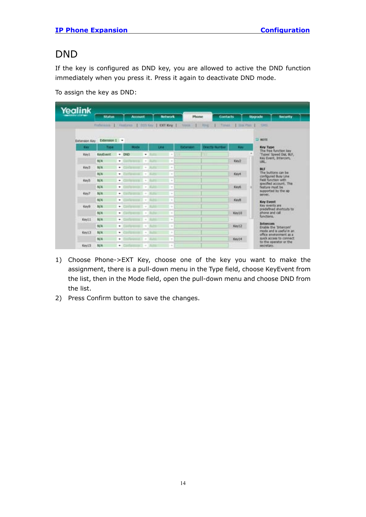#### <span id="page-16-0"></span>DND

If the key is configured as DND key, you are allowed to active the DND function immediately when you press it. Press it again to deactivate DND mode.

To assign the key as DND:

| Yealink     | <b>Malus</b>                                         |   | <b>Account</b> |               |              | <b>Activizia</b>                                                                               | Phone       | <b>Contacts</b>       |                      | Upgrade<br><b>Security</b>                          |
|-------------|------------------------------------------------------|---|----------------|---------------|--------------|------------------------------------------------------------------------------------------------|-------------|-----------------------|----------------------|-----------------------------------------------------|
|             | Following 1. Faidlines 1. 005 Key 1 COT Key 1 - 1008 |   |                |               |              |                                                                                                | $\cdots$    | <b>TEMP</b>           | 1 Total 1 list Par 1 | $-1005$                                             |
|             |                                                      |   |                |               |              |                                                                                                |             |                       |                      |                                                     |
|             | Extension Kay Extension 1 -                          |   |                |               |              |                                                                                                |             |                       |                      | $\Box$ work                                         |
| <b>Ciev</b> | Type                                                 |   | <b>Hode</b>    |               | <b>Links</b> |                                                                                                | Extension:  | <b>Drettly Number</b> | <b>King</b>          | <b>Key Type:</b><br>The free function key           |
| Kaw1        | KeyEvant.                                            |   | $-0.00$        | ٠             |              | $\sim$                                                                                         | <b>ITEM</b> | ш                     |                      | 'Types' Speed Dat, BLF,                             |
|             | N/A                                                  | ۰ |                | $\sim$        |              | $\alpha$                                                                                       |             |                       | Key2                 | Key Event, Intercom,<br><b>MALL</b>                 |
| Key3        | N/A)                                                 | ٠ |                | $\sim$        |              | $\frac{1}{2}$                                                                                  |             |                       |                      | <b>BUT</b>                                          |
|             | NA                                                   | ٠ |                | ٠             |              | $\sim$                                                                                         |             |                       | Keivit               | The buttons can be<br>configured Busy Line          |
| KeyS        | N/A                                                  | ٠ |                | $\sim$        |              | $\sim$                                                                                         |             |                       |                      | Field function with<br>specified account. This      |
|             | N/A                                                  | ٠ |                | $\sim$        |              | $\sim$                                                                                         |             |                       | Key6                 | feature must be                                     |
| Key?        | NA                                                   | ۰ |                | $\frac{1}{2}$ |              | $\sim$                                                                                         |             |                       |                      | supported by the sp<br>server.                      |
|             | N/A                                                  | ٠ |                | $\sim$        |              | $\sim$                                                                                         |             |                       | Kevk.                | <b>Key Event</b>                                    |
| Kevil       | N/A                                                  | ٠ |                | $\sim$        |              | $\sim$                                                                                         |             |                       |                      | Key events are<br>predefined shortruits to          |
|             | N/A                                                  | ٠ |                | $\frac{1}{2}$ |              | $\sim$                                                                                         |             |                       | Kay10                | Sico brist singlet<br>Ruschions.                    |
| Key11       | N/A                                                  | ۰ |                | $\sim$        |              | $\sim$                                                                                         |             |                       |                      | <b>Intercom</b>                                     |
|             | N/A                                                  | ٠ |                |               |              | $\frac{1}{2} \left( \frac{1}{2} \right) \left( \frac{1}{2} \right) \left( \frac{1}{2} \right)$ |             |                       | Key12                | Enable the 'Intercond'                              |
| Keytill     | 规具                                                   | ۰ |                | $\sim$        |              | ٠                                                                                              |             |                       |                      | mode and is useful in an<br>office environment as a |
|             | N/A                                                  | ٠ |                | ÷             |              | $\frac{1}{2}$                                                                                  |             |                       | Kay14                | quick access to cannect<br>to the operator or the   |
| Keyt5       | NUM                                                  | ٠ |                | $\sim$        |              | $\sim$                                                                                         |             |                       |                      | secretary.                                          |

- 1) Choose Phone->EXT Key, choose one of the key you want to make the assignment, there is a pull-down menu in the Type field, choose KeyEvent from the list, then in the Mode field, open the pull-down menu and choose DND from the list.
- 2) Press Confirm button to save the changes.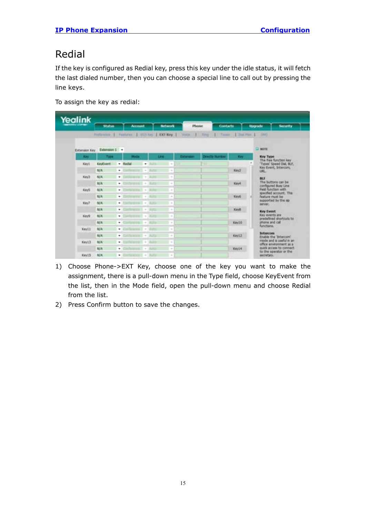### <span id="page-17-0"></span>Redial

If the key is configured as Redial key, press this key under the idle status, it will fetch the last dialed number, then you can choose a special line to call out by pressing the line keys.

To assign the key as redial:

| Yealink       |               |   |                |               |             |                |                |                                                                                               |                 |                                                     |
|---------------|---------------|---|----------------|---------------|-------------|----------------|----------------|-----------------------------------------------------------------------------------------------|-----------------|-----------------------------------------------------|
|               | <b>Status</b> |   | <b>Account</b> |               |             | <b>Between</b> | Phone          |                                                                                               | <b>Contacts</b> | Upgrade<br><b>Security</b>                          |
|               |               |   |                |               |             |                |                | Philippine 1, Festures, 1, 153 Key 1, 100 Key 1, Voice 1, Ning 1, Taxes, 1, Dai For, 1, 2015. |                 |                                                     |
| Extension Kay | Extension 1 - |   |                |               |             |                |                |                                                                                               |                 | <b>CENSOR</b>                                       |
| <b>King</b>   | Time          |   | <b>Mode</b>    |               | <b>Line</b> |                | <b>Edanger</b> | <b>Directly Number</b>                                                                        | 1,499           | <b>Key Type</b>                                     |
| Kay1          | KeyCvent      |   | $-$ Kedul      | ٠             |             | $\sim$         | h e            |                                                                                               |                 | The free function key<br>'Types' Speed Dal, BLF.    |
|               | <b>N/A</b>    | ٠ |                | $\sim$        |             | $\alpha$       |                |                                                                                               | Key2            | Key Event, Intercom,<br><b>LIGHT</b>                |
| Key3          | <b>N/A</b>    | ٠ | $-1000$        |               |             | $\sim$         |                |                                                                                               |                 | BU                                                  |
|               | <b>N/A</b>    | ٠ | <b>CONTROL</b> |               |             | $\alpha$       |                |                                                                                               | Kevil           | The buttons can be<br>configured Busy Line          |
| Key5          | <b>BEA</b>    | ٠ |                | ÷             |             | ٠              |                |                                                                                               |                 | Field function with<br>specified account. This      |
|               | <b>HUA</b>    | ٠ |                | $= 1 - 1$     |             | $\sim$         |                |                                                                                               | Key6            | heature must be<br>supported by the sp.             |
| Key7          | NIA           | ٠ |                | $\frac{1}{2}$ |             | ×              |                |                                                                                               |                 | <b>BROWL 1</b>                                      |
|               | <b>NZA</b>    | ٠ |                | $\sim$        |             | $\sim$         |                |                                                                                               | <b>Kays</b>     | <b>Key Event</b>                                    |
| Keys          | <b>IN/A</b>   | ۰ |                | $+1$          |             | ÷              |                |                                                                                               |                 | Key events are<br>predefined shortcuts to           |
|               | <b>N/A</b>    | ٠ |                | $\frac{1}{2}$ |             | $\sim$         |                |                                                                                               | Key DS          | phone and call<br><b>Bunchens</b>                   |
| KevII         | NIA           | ۰ | $-1.14$        |               |             | $\sim$         |                |                                                                                               |                 | <b>Inferrorm</b>                                    |
|               | <b>TUN</b>    | ٠ | <b>MADE A</b>  |               |             | $\sim$         |                |                                                                                               | Keyt2           | Enable the 'Intercom'<br>mode and is useful in an   |
| Key13         | <b>BUA</b>    | ٠ |                | ×             |             | $\sim$         |                |                                                                                               |                 | office environment as a<br>quick access to connect. |
|               | <b>N/A</b>    | ٠ |                | $\sim$        |             | $\sim$         |                |                                                                                               | Keyte           | to the operator or the                              |
| Key15         | <b>N/A</b>    | ٠ |                |               |             | ×              |                |                                                                                               |                 | ascretary.                                          |

- 1) Choose Phone->EXT Key, choose one of the key you want to make the assignment, there is a pull-down menu in the Type field, choose KeyEvent from the list, then in the Mode field, open the pull-down menu and choose Redial from the list.
- 2) Press Confirm button to save the changes.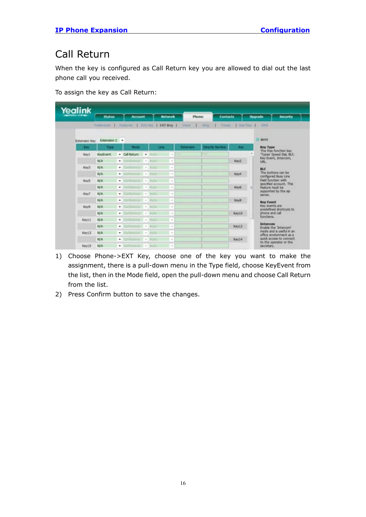### <span id="page-18-0"></span>Call Return

When the key is configured as Call Return key you are allowed to dial out the last phone call you received.

To assign the key as Call Return:

| Yealink       |               |                                                 |                                                                                                |                                                                                                    |           |                                       |                |                                                     |
|---------------|---------------|-------------------------------------------------|------------------------------------------------------------------------------------------------|----------------------------------------------------------------------------------------------------|-----------|---------------------------------------|----------------|-----------------------------------------------------|
|               | <b>Status</b> | <b>Account</b>                                  |                                                                                                | <b>Between</b>                                                                                     | Phone     | <b>Contacts</b>                       | <b>Upgrade</b> | <b>SOUTHER</b>                                      |
|               |               | Frebenist 1 Fastures   BSS Key   KXX Key   Voca |                                                                                                |                                                                                                    | 1 Linker  | Times   Dar Rac   Sits                |                |                                                     |
| Extension Key | Extension I + |                                                 |                                                                                                |                                                                                                    |           |                                       |                | $\square$ inom                                      |
| East          | Tree          | <b>Hode</b>                                     |                                                                                                | <b>Links</b>                                                                                       | Estatutos | <b>Directly Number</b><br><b>Card</b> |                | Key Type:                                           |
| Key1.         | KeyEvent      | * Cal Return +                                  |                                                                                                | <br>$\frac{1}{2} \left( \frac{1}{2} \right) \left( \frac{1}{2} \right) \left( \frac{1}{2} \right)$ |           |                                       |                | The free function key<br>'Types' Speed Dai, BLF.    |
|               | N/A           | ٠                                               | $\frac{1}{2} \left( \frac{1}{2} \right) \left( \frac{1}{2} \right) \left( \frac{1}{2} \right)$ | $\sim$                                                                                             |           | Key2                                  |                | Key Event, Intercom,<br>URL:                        |
| Key3          | <b>N/A</b>    | ۰                                               | ×<br>$\sim$                                                                                    | $\sim$                                                                                             |           |                                       |                | <b>BLF</b>                                          |
|               | <b>N/A</b>    | ٠                                               | $\sim$                                                                                         | $\sim$                                                                                             |           | <b>Keys</b>                           |                | The buttons can be<br>cardigured Busy Line          |
| KeyS          | NA            | $+1$                                            | $-1 - 100$                                                                                     | ×                                                                                                  |           |                                       |                | Field function with<br>specified account. This      |
|               | <b>N/A</b>    | ٠                                               | $\sim$<br>٠                                                                                    | $\equiv$                                                                                           |           | Key5                                  |                | feature must be                                     |
| Key2          | N/A           | ۰                                               | $\sim$                                                                                         | $\sim$                                                                                             |           |                                       |                | supported by the sp.<br>sarver.                     |
|               | N/A           | ٠                                               | $\frac{1}{2} \left( \frac{1}{2} \right) \left( \frac{1}{2} \right)$                            | $\sim$                                                                                             |           | <b>Keyli</b>                          |                | <b>Key Event</b>                                    |
| Keya          | N/A           | ٠                                               | $\blacksquare$                                                                                 | $\equiv$                                                                                           |           |                                       |                | Key events are<br>predefined shortcuts to           |
|               | N/A           | ٠                                               | $\frac{1}{2} \left( \frac{1}{2} \right) \left( \frac{1}{2} \right) \left( \frac{1}{2} \right)$ | $\sim$                                                                                             |           | Kay10                                 | phone and call | functions.                                          |
| <b>Keyl I</b> | NA            | ۰                                               | $+$ 2020                                                                                       | $\sim$                                                                                             |           |                                       |                |                                                     |
|               | N/A           | ٠                                               | $\sim$                                                                                         | $\sim$                                                                                             |           | Xwel2                                 |                | <b>Intercom</b><br>Enable the 'Intercon'            |
| Key13         | N/A           | ۰                                               | $\sim$                                                                                         |                                                                                                    |           |                                       |                | mode and is useful in an<br>office environment as a |
|               | <b>N/A</b>    | ٠                                               | $\frac{1}{2} \left( \frac{1}{2} \right) \left( \frac{1}{2} \right) \left( \frac{1}{2} \right)$ | $\sim$                                                                                             |           | <b>Ray14</b>                          |                | quick access to connect.<br>to the coerator or the  |
| KeytS         | NA            | ٠                                               | $\sim$                                                                                         | $\sim$                                                                                             |           |                                       |                | <b>MOREY,</b>                                       |

- 1) Choose Phone->EXT Key, choose one of the key you want to make the assignment, there is a pull-down menu in the Type field, choose KeyEvent from the list, then in the Mode field, open the pull-down menu and choose Call Return from the list.
- 2) Press Confirm button to save the changes.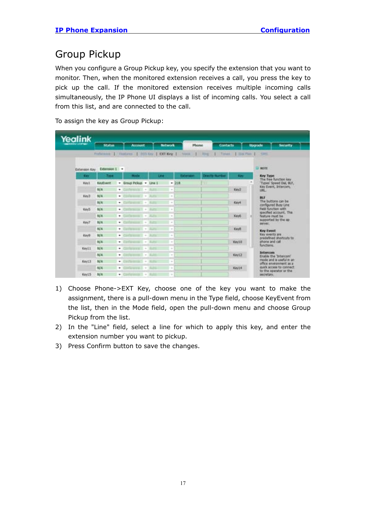#### <span id="page-19-0"></span>Group Pickup

When you configure a Group Pickup key, you specify the extension that you want to monitor. Then, when the monitored extension receives a call, you press the key to pick up the call. If the monitored extension receives multiple incoming calls simultaneously, the IP Phone UI displays a list of incoming calls. You select a call from this list, and are connected to the call.

To assign the key as Group Pickup:

| Yealink       |                             |                                                        |                                                                                                                                                                       |            |                                |              |                                                                            |
|---------------|-----------------------------|--------------------------------------------------------|-----------------------------------------------------------------------------------------------------------------------------------------------------------------------|------------|--------------------------------|--------------|----------------------------------------------------------------------------|
|               | <b>Niation</b>              | <b>Account</b>                                         | <b>Betwurk</b>                                                                                                                                                        | Phone      | <b>Contacts</b>                |              | Upgrade<br><b>Security</b>                                                 |
|               |                             |                                                        | Followine   Finitures   893 hrs   EXTKey   Vote                                                                                                                       |            | 1 Fog 1 Total 1 Da Par 1 - 105 |              |                                                                            |
|               | Extension Kay Extension 1 = |                                                        |                                                                                                                                                                       |            |                                |              | $D$ wont                                                                   |
| <b>Circle</b> | Trace                       | <b>Hode</b>                                            | <b>Late:</b>                                                                                                                                                          | Extension: | <b>Directly Number</b>         | <b>Since</b> | <b>Key Type:</b>                                                           |
| Kevil         | KeyEvant.                   | . Group Pickup. . Line 1                               |                                                                                                                                                                       | $-218$     |                                |              | The free function key<br>'Types' Speed Dat, BLF.                           |
|               | N/A                         | ٠                                                      | $\alpha$                                                                                                                                                              |            |                                | Key2         | Key Event, Intercom,<br><b>MALL</b>                                        |
| Key3          | N/A                         | ×,<br><b>STATISTICS</b>                                | $\sim$                                                                                                                                                                |            |                                |              | BUT                                                                        |
|               | NA                          | <b>STRATEGICAL</b><br>۰                                | $\sim$                                                                                                                                                                |            |                                | Keys.        | The buttons can be<br>configured Busy Line                                 |
| Key5          | N/A                         | ۰                                                      | $\sim$<br>$\sim$                                                                                                                                                      |            |                                |              | <b>Field function with</b><br>specified account. This                      |
|               | N/A                         | ٠<br>$-1000$                                           | $\frac{1}{2}$                                                                                                                                                         |            |                                | Key6         | feature must be<br>supported by the sp.                                    |
| Kes7          | N/A                         | ۰                                                      | $\overline{a}$<br>$\sim$                                                                                                                                              |            |                                |              | server.                                                                    |
|               | N/A                         | ٠                                                      | $\sim$<br>$\sim$                                                                                                                                                      |            |                                | Key8.        | <b>Key Event</b>                                                           |
| Keyli         | N/A                         | ٠                                                      | $\sim$<br>ii a                                                                                                                                                        |            |                                |              | Key events are<br>predefined shortcuts to:<br>shone and call<br>functions. |
|               | NA                          | ۰                                                      | $\sim$<br>$\sim$                                                                                                                                                      |            |                                | Key10        |                                                                            |
| Key11         | N/A                         | ٠<br><b>DESCRIPTION AND VALUE</b>                      | $\sim$                                                                                                                                                                |            |                                |              | <b>Brothercome</b>                                                         |
|               | N/A                         | Service provided the Children<br>۰                     | $\sim$                                                                                                                                                                |            |                                | Key12        | Eruble the 'Interconf'<br>mode and is useful m an                          |
| Keyt3         | NA                          | ٠                                                      | $\frac{1}{2} \left( \frac{1}{2} \right) \left( \frac{1}{2} \right)$<br>$\frac{1}{2} \left( \frac{1}{2} \right) \left( \frac{1}{2} \right) \left( \frac{1}{2} \right)$ |            |                                |              | office environment as a<br>quick access to connect.                        |
| Key15         | N/A<br>N/A                  | ٠<br><b>Information</b> I will<br>and and provided and | $\sim$                                                                                                                                                                |            |                                | Kev14        | to the operator or the                                                     |

- 1) Choose Phone->EXT Key, choose one of the key you want to make the assignment, there is a pull-down menu in the Type field, choose KeyEvent from the list, then in the Mode field, open the pull-down menu and choose Group Pickup from the list.
- 2) In the "Line" field, select a line for which to apply this key, and enter the extension number you want to pickup.
- 3) Press Confirm button to save the changes.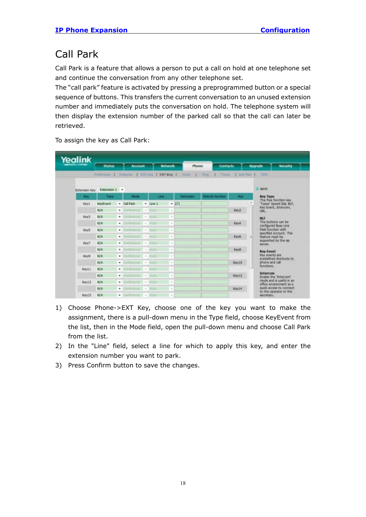### <span id="page-20-0"></span>Call Park

Call Park is a feature that allows a person to put a call on hold at one telephone set and continue the conversation from any other telephone set.

The "call park" feature is activated by pressing a preprogrammed button or a special sequence of buttons. This transfers the current conversation to an unused extension number and immediately puts the conversation on hold. The telephone system will then display the extension number of the parked call so that the call can later be retrieved.

To assign the key as Call Park:



- 1) Choose Phone->EXT Key, choose one of the key you want to make the assignment, there is a pull-down menu in the Type field, choose KeyEvent from the list, then in the Mode field, open the pull-down menu and choose Call Park from the list.
- 2) In the "Line" field, select a line for which to apply this key, and enter the extension number you want to park.
- 3) Press Confirm button to save the changes.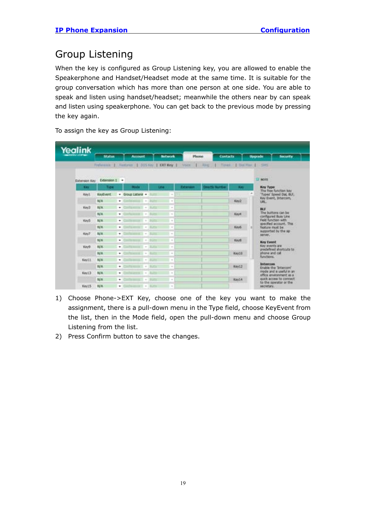#### <span id="page-21-0"></span>Group Listening

When the key is configured as Group Listening key, you are allowed to enable the Speakerphone and Handset/Headset mode at the same time. It is suitable for the group conversation which has more than one person at one side. You are able to speak and listen using handset/headset; meanwhile the others near by can speak and listen using speakerphone. You can get back to the previous mode by pressing the key again.

Yealink **Studios** Account **Between** Phone **Contacts Uncerade** National | DOS Nev | KRO Key | ï  $\Box$  more Extension Key Extension 1 . Key Type<br>The free function key<br>'Types' Speed Dai, BUI,<br>Key Event, Intercom, KeyEvent . Group Listenit . It Keyt  $\bullet$  . Confidential  $\bullet$  . But **NIA**  $Ker2$ **BULK** Keu'r  $\bullet$  . Continuous in **SCHOOL** ns can be **NA** Keye ۰ ed Buily Line<br>Iction with<br>I account, This<br>must be Key5 N/A NA.  $-100$ Key6 d by the sp Key? **NA**  $+$  Containing  $\bullet$  Collegean Keyt N/A **BGP**  $\bullet$  . The figure is a events are<br>lefined shot<br>ne and call **TOP** Keys **BUA** rtruits to  $-$  2007 month **E** NA. Key10  $N/\Lambda$ · College and **Take** Keyl!  $-2.5 - 1.1$ N/A **Tart** Key12  $\sim$ the Triter and is useful in an  $-$  Continued 1 Key13 **NA Batt** environment as<br>access to conne  $+2$  -  $-$ N/A **Katt** Key14 Keyt5 NVA

To assign the key as Group Listening:

- 1) Choose Phone->EXT Key, choose one of the key you want to make the assignment, there is a pull-down menu in the Type field, choose KeyEvent from the list, then in the Mode field, open the pull-down menu and choose Group Listening from the list.
- 2) Press Confirm button to save the changes.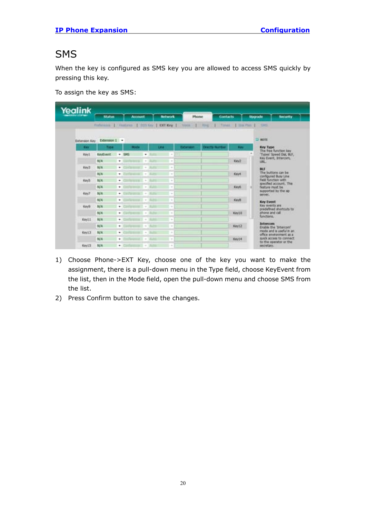#### <span id="page-22-0"></span>**SMS**

When the key is configured as SMS key you are allowed to access SMS quickly by pressing this key.

To assign the key as SMS:

| Yealink       |                             |                                                        |                                                                                                |                  |                          |              |                                                     |
|---------------|-----------------------------|--------------------------------------------------------|------------------------------------------------------------------------------------------------|------------------|--------------------------|--------------|-----------------------------------------------------|
|               | <b>Nation</b>               | <b>Account</b>                                         |                                                                                                | <b>According</b> | Phone<br><b>Contacts</b> |              | Upgrade<br><b>Security</b>                          |
|               |                             | Following 1. Faidlines 1. 003 hzr. 1. CKT Key 1. Voice |                                                                                                | VD.              | 17,234                   |              | 1 Times 1 Use Part 1 .- 1985.                       |
|               |                             |                                                        |                                                                                                |                  |                          |              |                                                     |
|               | Extension Kay Extension 1 - |                                                        |                                                                                                |                  |                          |              | $\Box$ NOTE                                         |
| <b>Circul</b> | Type                        | <b>Hode</b>                                            | <b>Little:</b>                                                                                 | Extension:       | <b>Drectly Number</b>    | <b>Since</b> | <b>Key Type</b><br>The free function key            |
| Kevil         | <b>KeyEvant</b>             | $-505$                                                 | ٠                                                                                              | m<br>$\sim$      |                          |              | 'Types' Speed Dat, BLF.                             |
|               | <b>N/A</b>                  | ٠                                                      | $\sim$                                                                                         | $\sim$           |                          | Key2         | Key Event, Intercom,<br><b>MALL</b>                 |
| Key3          | N/A                         | ٠                                                      | $\sim$                                                                                         | ×                |                          |              | BUT                                                 |
|               | NA                          | ۰                                                      | $\sim$                                                                                         | $\sim$           |                          | Keivit       | The buttons can be<br>configured Busy Line          |
| KeyS          | N/A                         | ٠<br><b>CALL +</b>                                     |                                                                                                | $\sim$           |                          |              | Field function with<br>specified account. This      |
|               | N/A                         | ٠                                                      | $\sim$<br>-                                                                                    | $\sim$           |                          | Keyő         | feature must be                                     |
| Key?          | NA                          | ٠                                                      | $\frac{1}{2} \left( \frac{1}{2} \right) \left( \frac{1}{2} \right) \left( \frac{1}{2} \right)$ | $\sim$           |                          |              | supported by the sp<br>server.                      |
|               | N/A                         | ٠                                                      | $\sim$                                                                                         | $\sim$           |                          | <b>Kawk</b>  | <b>Key Event</b>                                    |
| Kevik         | N/A                         | ۰                                                      | $\frac{1}{2}$                                                                                  | $\sim$           |                          |              | Key events are<br>predefined shortcuts to           |
|               | N/A                         | ٠                                                      | $\sim$                                                                                         | $\sim$           |                          | Kay10        | Bit's time among<br>functions.                      |
| Keyl1         | <b>N/A</b>                  | ۰                                                      | $\sim$                                                                                         | $\sim$           |                          |              | <b>Butercom</b>                                     |
|               | N/A                         | ٠                                                      | $\sim$                                                                                         | $\frac{1}{2}$    |                          | <b>Keyt2</b> | Enable the 'Intercom'                               |
| Keytill       | 製品                          | ٠                                                      | $\sim$                                                                                         | $\sim$           |                          |              | mode and is useful in an<br>office environment as a |
|               | N/A                         | ٠                                                      | $\sim$                                                                                         | $\sim$           |                          | Kayte        | quick access to cannect<br>to the operator or the   |
| Keyt5         | N/A                         | ٠                                                      | $\sim$<br>$\mathbb{E}^{\mathbb{Z}}$ . It is                                                    | $\sim$           |                          |              | secretary.                                          |

- 1) Choose Phone->EXT Key, choose one of the key you want to make the assignment, there is a pull-down menu in the Type field, choose KeyEvent from the list, then in the Mode field, open the pull-down menu and choose SMS from the list.
- 2) Press Confirm button to save the changes.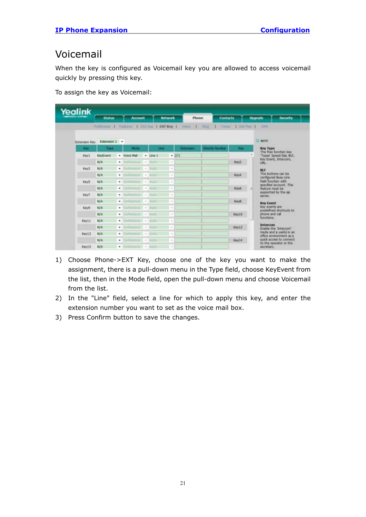#### <span id="page-23-0"></span>Voicemail

When the key is configured as Voicemail key you are allowed to access voicemail quickly by pressing this key.

To assign the key as Voicemail:

| Yealink                        |                 |                                                |                                                                                                                                                                                                                                                                                                                                                                     |                           |                      |              |                                                      |
|--------------------------------|-----------------|------------------------------------------------|---------------------------------------------------------------------------------------------------------------------------------------------------------------------------------------------------------------------------------------------------------------------------------------------------------------------------------------------------------------------|---------------------------|----------------------|--------------|------------------------------------------------------|
| <b><i><u>ALLENWING</u></i></b> | Status          | Account                                        |                                                                                                                                                                                                                                                                                                                                                                     | <b>Justwork</b><br>Phone. | <b>Contacts</b>      |              | <b>Upgrade</b><br><b>Security</b>                    |
|                                |                 | Fishmone 1 Festures   ISSTAN   CXY Key   VIICE |                                                                                                                                                                                                                                                                                                                                                                     |                           | $1 - h/m$            |              | 11 Times Libal First 1 (1975)                        |
| Extension Key                  | Extension 1 -   |                                                |                                                                                                                                                                                                                                                                                                                                                                     |                           |                      |              | $\square$ NOTE                                       |
| <b>Key</b>                     | Type            | <b>Bander</b>                                  | 5,000                                                                                                                                                                                                                                                                                                                                                               | <b>Extensive</b>          | <b>Dretty Number</b> | <b>Since</b> | <b>Key Type</b>                                      |
| Key1                           | KeyEvent        | - Voice Mail                                   | $-$ Line 1                                                                                                                                                                                                                                                                                                                                                          | $-271$                    |                      |              | The free function key<br>"Types' Speed Dat, BLF,     |
|                                | NA              | ۰                                              | $\frac{1}{2} \sum_{i=1}^{n} \frac{1}{2} \left( \frac{1}{2} \sum_{i=1}^{n} \frac{1}{2} \sum_{i=1}^{n} \frac{1}{2} \sum_{i=1}^{n} \frac{1}{2} \sum_{i=1}^{n} \frac{1}{2} \sum_{i=1}^{n} \frac{1}{2} \sum_{i=1}^{n} \frac{1}{2} \sum_{i=1}^{n} \frac{1}{2} \sum_{i=1}^{n} \frac{1}{2} \sum_{i=1}^{n} \frac{1}{2} \sum_{i=1}^{n} \frac{1}{2} \sum_{i=1}^{n} \frac{1}{2$ | ×                         |                      | Key2         | Kay Event, Intercom,<br>URL.                         |
| Key3                           | N/A             | ۰                                              | $\sim$                                                                                                                                                                                                                                                                                                                                                              | ٠                         |                      |              | <b>BLF</b>                                           |
|                                | N/A             | ٠                                              | $\sim$                                                                                                                                                                                                                                                                                                                                                              | $\sim$                    |                      | Keye         | The buttons can be<br>configured Busy Line           |
| KeyS                           | NA              | ۰                                              | $\sim$                                                                                                                                                                                                                                                                                                                                                              | $\sim$                    |                      |              | <b>Field function with</b><br>specified account. The |
|                                | N/A             | ٠                                              | $\sim$                                                                                                                                                                                                                                                                                                                                                              | $\sim$                    |                      | Keiro        | <b><i><u>Feature</u></i></b> must be                 |
| Key?                           | N/A             | ۰                                              | $\sim$                                                                                                                                                                                                                                                                                                                                                              | $\sim$                    |                      |              | supported by the sp.<br>salvar, in the con-          |
|                                | NA              | ۰                                              | $\sim$                                                                                                                                                                                                                                                                                                                                                              | $\sim$                    |                      | Keyti        | <b>Key Event</b>                                     |
| King                           | N/A             | $4.7 - x$<br>٠                                 |                                                                                                                                                                                                                                                                                                                                                                     | $\sim$                    |                      |              | Key invents are<br>predefined shortcuts to           |
|                                | N/A             | ٠                                              | $\frac{1}{2}$                                                                                                                                                                                                                                                                                                                                                       | $\sim$                    |                      | Keytő        | phone and call<br>functions.                         |
| Keytt                          | <b>NA</b>       | ٠                                              | $\equiv$                                                                                                                                                                                                                                                                                                                                                            | ×                         |                      |              | Intercom                                             |
|                                | <b>BAA</b>      | ٠<br>$-111 - 10$                               |                                                                                                                                                                                                                                                                                                                                                                     | $\sim$                    |                      | Keyt2        | Enable the "Intercom"                                |
| Key L3                         | N/A             | ٠                                              | $\sim$                                                                                                                                                                                                                                                                                                                                                              | $\sim$                    |                      |              | mode and is useful in an<br>affice environment as a  |
|                                | <b>B&amp;TA</b> | ٠                                              | $\sim$<br><b>Builder</b>                                                                                                                                                                                                                                                                                                                                            | $\sim$                    |                      | Kev14        | quick access to connect.<br>to the operator or the   |
| Key15                          | NA              | ٠                                              | $\frac{1}{2} \left( \frac{1}{2} \right)^2$                                                                                                                                                                                                                                                                                                                          | $\sim$                    |                      |              | secretary.                                           |

- 1) Choose Phone->EXT Key, choose one of the key you want to make the assignment, there is a pull-down menu in the Type field, choose KeyEvent from the list, then in the Mode field, open the pull-down menu and choose Voicemail from the list.
- 2) In the "Line" field, select a line for which to apply this key, and enter the extension number you want to set as the voice mail box.
- 3) Press Confirm button to save the changes.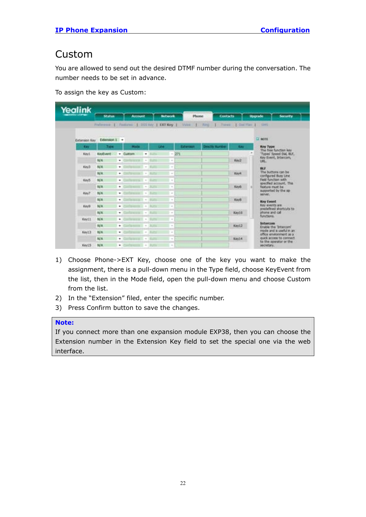#### <span id="page-24-0"></span>Custom

You are allowed to send out the desired DTMF number during the conversation. The number needs to be set in advance.

To assign the key as Custom:

| Yealink     |                             |                |                                      |                 |          |                                                                                   |        |                |                                                       |
|-------------|-----------------------------|----------------|--------------------------------------|-----------------|----------|-----------------------------------------------------------------------------------|--------|----------------|-------------------------------------------------------|
|             | <b>Status</b>               | <b>Account</b> |                                      | <b>Bellwork</b> |          | <b>Contacts</b><br><b>Phone:</b>                                                  |        | <b>Upgrade</b> | <b>Societive</b>                                      |
|             |                             |                |                                      |                 |          | Fisherma L Features J DOLTAY L DOLTARY L Voice J Party J Trees L Dai Flav L Sitts |        |                |                                                       |
|             |                             |                |                                      |                 |          |                                                                                   |        |                |                                                       |
|             | Extension Key Extension 1 + |                |                                      |                 |          |                                                                                   |        | <b>CZ MOTH</b> |                                                       |
| <b>Cary</b> | 7,00                        | <b>Hode</b>    |                                      | <b>COM</b>      | Extenses | <b>Drectly Number</b>                                                             | Easy   |                | <b>Key Type:</b><br>The free function key             |
| Kevt        | KeyEvent                    | · Cuitom · · · |                                      | $-271$          |          |                                                                                   |        |                | Types' Speed Dat, ILF.                                |
|             | N/A                         | ٠              |                                      | $\sim$          |          |                                                                                   | Key2   | LIEL.          | Key Event, Intercom,                                  |
| Key3        | N/A                         | ۰              | $\sim$                               | $\sim$          |          |                                                                                   |        | <b>BLF</b>     |                                                       |
|             | N/A                         | ۰              | and program to a state of            | $\frac{1}{2}$   |          |                                                                                   | Kevil  |                | The buttons can be<br>configured Busy Line            |
| Key5        | N/A                         | ۰              | $-11 - 1$                            | $\sim$          |          |                                                                                   |        |                | <b>Field function with</b><br>specified account. This |
|             | N/A                         | ٠              | $\sim$                               | $\sim$          |          |                                                                                   | Keyli  |                | Feature must be                                       |
| Key7        | 製具                          | ۰              | $\sim$                               | $\sim$          |          |                                                                                   |        |                | supported by the sp.<br>server.                       |
|             | 35/.R.                      | ۰              | <b>WEIGHT WAS</b>                    | $\sim$          |          |                                                                                   | Keyls. |                | Key Event                                             |
| Keylk       | N/A                         | ٠              | $1 + 18$                             | $\sim$          |          |                                                                                   |        |                | Key avents are<br>predefined shortcuts to:            |
|             | <b>N/A</b>                  | ٠              | $-10$                                | $\sim$          |          |                                                                                   | Kay10  |                | shows and call<br>functions.                          |
| Kevill      | N/A                         | ۰              | and an arm and in a collection       | $\sim$          |          |                                                                                   |        |                |                                                       |
|             | N/A                         | ٠              | $-1000$                              | ×               |          |                                                                                   | Key13  |                | <b>Intercore</b><br>Enable the Tritercon!             |
| Keyt3       | N/A                         | ۰              | $\frac{1}{2}$                        | $\sim$          |          |                                                                                   |        |                | mode and is useful in an<br>office enveronment as a   |
|             | N/A                         | ۰              | $\sim$                               | $\sim$          |          |                                                                                   | Key14  |                | quick access to connect.<br>to the aparator or the    |
| Keyt5       | N/A                         | ٠              | $m$ is $n = 1$ . At the state of $m$ | <b>In</b>       |          |                                                                                   |        |                | secretary.                                            |

- 1) Choose Phone->EXT Key, choose one of the key you want to make the assignment, there is a pull-down menu in the Type field, choose KeyEvent from the list, then in the Mode field, open the pull-down menu and choose Custom from the list.
- 2) In the "Extension" filed, enter the specific number.
- 3) Press Confirm button to save the changes.

#### **Note:**

If you connect more than one expansion module EXP38, then you can choose the Extension number in the Extension Key field to set the special one via the web interface.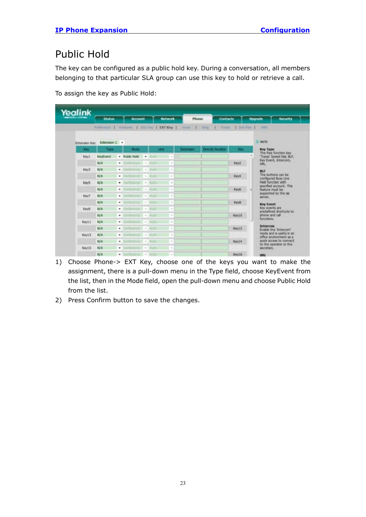### <span id="page-25-0"></span>Public Hold

The key can be configured as a public hold key. During a conversation, all members belonging to that particular SLA group can use this key to hold or retrieve a call.

To assign the key as Public Hold:

| Yealink                             |               |                            |                                                                                                |          |                           |                         |                                                     |
|-------------------------------------|---------------|----------------------------|------------------------------------------------------------------------------------------------|----------|---------------------------|-------------------------|-----------------------------------------------------|
| <b><i><u>START LETTERS </u></i></b> | <b>Status</b> | Account.                   | <b>Autorcode</b>                                                                               |          | <b>Contacts</b><br>Phone: |                         | <b>Upgrade</b><br><b>Society</b>                    |
|                                     |               |                            | Fielmann   Famiret   2013ay   DCI Key   Valia                                                  |          | $1 - 1$                   | Tires 1 Did Pay 1 - SHS |                                                     |
|                                     |               |                            |                                                                                                |          |                           |                         |                                                     |
| <b>Extension Key</b>                | Extension I + |                            |                                                                                                |          |                           |                         | $\square$ more                                      |
| <b>Circ</b>                         | Type          | <b>Body</b>                | Line                                                                                           | Extenses | <b>Dractly Number</b>     | <b>Card</b>             | <b>Key Type</b><br>The free function key            |
| Kevt                                | KeyEvent      | · Public Hold              | $\cdot$                                                                                        | ÷        |                           |                         | 'Types' Speed Dol, BLF.                             |
|                                     | N/A           | ۰                          | $\sim$                                                                                         | $\sim$   |                           | Key2                    | Key Event, Intercom,<br><b>URL</b>                  |
| Key3                                | NA            | $-1$ . Convenience $ -$ 16 | -                                                                                              | ٠        |                           |                         | <b>BLS</b>                                          |
|                                     | N/A           | ٠                          | $\frac{1}{2} \left( \frac{1}{2} \right) \left( \frac{1}{2} \right) \left( \frac{1}{2} \right)$ | $\sim$   |                           | Keye                    | The buttons can be<br>configured Busy Line          |
| Key5                                | <b>N/A</b>    | ٠                          | $\sim$                                                                                         | $\sim$   |                           |                         | Field function with                                 |
|                                     | <b>N/A</b>    | ٠                          | Miller Bro<br>$\sim$                                                                           | ×        |                           | Key6                    | specified account. This<br>feature must be          |
| Key?                                | NA            | ٠                          | $+10.01$                                                                                       | $\sim$   |                           |                         | supported by the sp-<br>server.                     |
|                                     | N/A           | ٠                          | $\sim$                                                                                         | $\sim$   |                           | Keyli,                  | <b>Key Event</b>                                    |
| Keya                                | N/A           | ٠                          | $\sim$                                                                                         | $\sim$   |                           |                         | Key events are                                      |
|                                     | NA            | ٠                          | $\sim$                                                                                         | $\sim$   |                           | Kay10                   | predefined shortcuts to<br>phone and call           |
| Key11                               | 规具            | ۰                          | $\frac{1}{2}$                                                                                  | $\sim$   |                           |                         | <b>Bunctions</b>                                    |
|                                     | N/A           | ٠                          | $\sim$                                                                                         | $\sim$   |                           | Key12                   | <b>Intercom</b><br>Enable the 'Intercond'           |
| Keylill                             | 製具            | ٠                          | $\sim$                                                                                         | $\sim$   |                           |                         | mode and is useful in an                            |
|                                     | NA            | ٠                          | $\frac{1}{2} \left( \frac{1}{2} \right) \left( \frac{1}{2} \right)$                            | $\sim$   |                           | Key14                   | office enveronment as a<br>quick access to connect. |
| Key15                               | N/A           | ٠                          | $\sim$                                                                                         | $\sim$   |                           |                         | to the operator or the<br>secretary.                |
|                                     | N/A           | ۰                          | $+$ 10.34                                                                                      | $\alpha$ |                           | Kev16                   | <b>LEWISE</b>                                       |

- 1) Choose Phone-> EXT Key, choose one of the keys you want to make the assignment, there is a pull-down menu in the Type field, choose KeyEvent from the list, then in the Mode field, open the pull-down menu and choose Public Hold from the list.
- 2) Press Confirm button to save the changes.